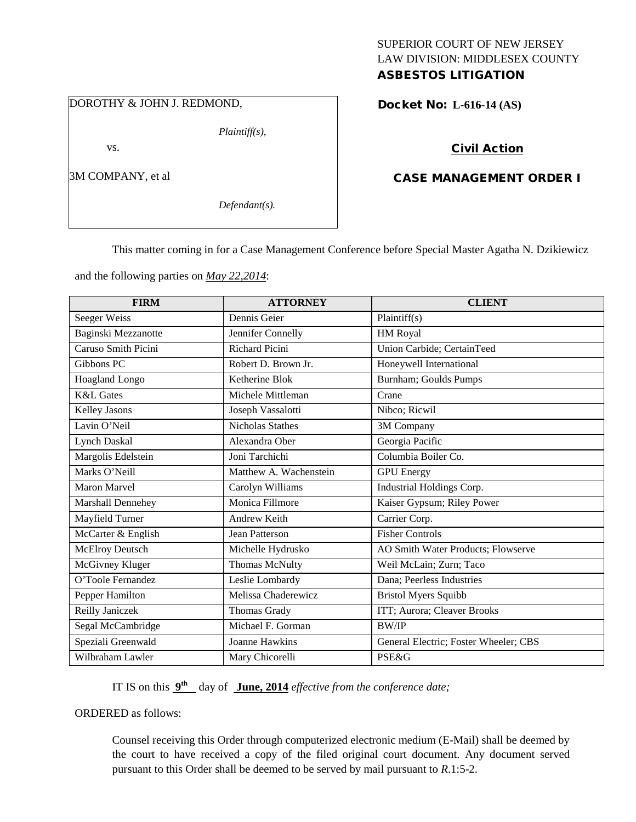# SUPERIOR COURT OF NEW JERSEY LAW DIVISION: MIDDLESEX COUNTY

## ASBESTOS LITIGATION

DOROTHY & JOHN J. REDMOND,

vs.

3M COMPANY, et al

*Defendant(s).*

*Plaintiff(s),*

Docket No: **L-616-14 (AS)** 

### Civil Action

### CASE MANAGEMENT ORDER I

This matter coming in for a Case Management Conference before Special Master Agatha N. Dzikiewicz

and the following parties on *May 22,2014*:

| <b>FIRM</b>            | <b>ATTORNEY</b>         | <b>CLIENT</b>                         |
|------------------------|-------------------------|---------------------------------------|
| Seeger Weiss           | Dennis Geier            | Plaintiff $(s)$                       |
| Baginski Mezzanotte    | Jennifer Connelly       | HM Royal                              |
| Caruso Smith Picini    | <b>Richard Picini</b>   | Union Carbide; CertainTeed            |
| Gibbons PC             | Robert D. Brown Jr.     | Honeywell International               |
| Hoagland Longo         | Ketherine Blok          | Burnham; Goulds Pumps                 |
| <b>K&amp;L</b> Gates   | Michele Mittleman       | Crane                                 |
| Kelley Jasons          | Joseph Vassalotti       | Nibco; Ricwil                         |
| Lavin O'Neil           | <b>Nicholas Stathes</b> | 3M Company                            |
| <b>Lynch Daskal</b>    | Alexandra Ober          | Georgia Pacific                       |
| Margolis Edelstein     | Joni Tarchichi          | Columbia Boiler Co.                   |
| Marks O'Neill          | Matthew A. Wachenstein  | <b>GPU</b> Energy                     |
| <b>Maron Marvel</b>    | Carolyn Williams        | Industrial Holdings Corp.             |
| Marshall Dennehey      | Monica Fillmore         | Kaiser Gypsum; Riley Power            |
| Mayfield Turner        | Andrew Keith            | Carrier Corp.                         |
| McCarter & English     | <b>Jean Patterson</b>   | <b>Fisher Controls</b>                |
| <b>McElroy Deutsch</b> | Michelle Hydrusko       | AO Smith Water Products; Flowserve    |
| McGivney Kluger        | Thomas McNulty          | Weil McLain; Zurn; Taco               |
| O'Toole Fernandez      | Leslie Lombardy         | Dana; Peerless Industries             |
| Pepper Hamilton        | Melissa Chaderewicz     | <b>Bristol Myers Squibb</b>           |
| Reilly Janiczek        | Thomas Grady            | ITT; Aurora; Cleaver Brooks           |
| Segal McCambridge      | Michael F. Gorman       | <b>BW/IP</b>                          |
| Speziali Greenwald     | Joanne Hawkins          | General Electric; Foster Wheeler; CBS |
| Wilbraham Lawler       | Mary Chicorelli         | <b>PSE&amp;G</b>                      |

IT IS on this **9th** day of **June, 2014** *effective from the conference date;*

ORDERED as follows:

Counsel receiving this Order through computerized electronic medium (E-Mail) shall be deemed by the court to have received a copy of the filed original court document. Any document served pursuant to this Order shall be deemed to be served by mail pursuant to *R*.1:5-2.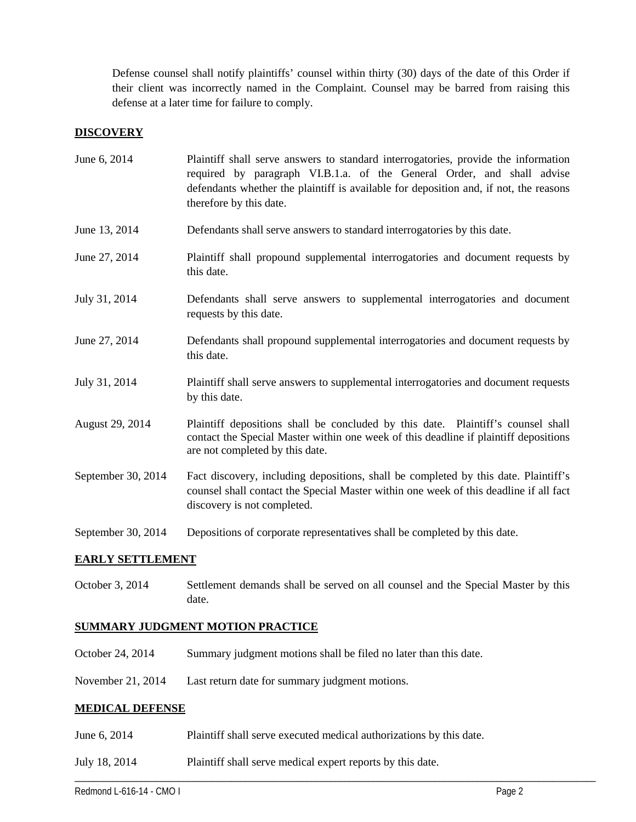Defense counsel shall notify plaintiffs' counsel within thirty (30) days of the date of this Order if their client was incorrectly named in the Complaint. Counsel may be barred from raising this defense at a later time for failure to comply.

#### **DISCOVERY**

| June 6, 2014       | Plaintiff shall serve answers to standard interrogatories, provide the information<br>required by paragraph VI.B.1.a. of the General Order, and shall advise<br>defendants whether the plaintiff is available for deposition and, if not, the reasons<br>therefore by this date. |  |  |
|--------------------|----------------------------------------------------------------------------------------------------------------------------------------------------------------------------------------------------------------------------------------------------------------------------------|--|--|
| June 13, 2014      | Defendants shall serve answers to standard interrogatories by this date.                                                                                                                                                                                                         |  |  |
| June 27, 2014      | Plaintiff shall propound supplemental interrogatories and document requests by<br>this date.                                                                                                                                                                                     |  |  |
| July 31, 2014      | Defendants shall serve answers to supplemental interrogatories and document<br>requests by this date.                                                                                                                                                                            |  |  |
| June 27, 2014      | Defendants shall propound supplemental interrogatories and document requests by<br>this date.                                                                                                                                                                                    |  |  |
| July 31, 2014      | Plaintiff shall serve answers to supplemental interrogatories and document requests<br>by this date.                                                                                                                                                                             |  |  |
| August 29, 2014    | Plaintiff depositions shall be concluded by this date. Plaintiff's counsel shall<br>contact the Special Master within one week of this deadline if plaintiff depositions<br>are not completed by this date.                                                                      |  |  |
| September 30, 2014 | Fact discovery, including depositions, shall be completed by this date. Plaintiff's<br>counsel shall contact the Special Master within one week of this deadline if all fact<br>discovery is not completed.                                                                      |  |  |
| September 30, 2014 | Depositions of corporate representatives shall be completed by this date.                                                                                                                                                                                                        |  |  |

#### **EARLY SETTLEMENT**

October 3, 2014 Settlement demands shall be served on all counsel and the Special Master by this date.

\_\_\_\_\_\_\_\_\_\_\_\_\_\_\_\_\_\_\_\_\_\_\_\_\_\_\_\_\_\_\_\_\_\_\_\_\_\_\_\_\_\_\_\_\_\_\_\_\_\_\_\_\_\_\_\_\_\_\_\_\_\_\_\_\_\_\_\_\_\_\_\_\_\_\_\_\_\_\_\_\_\_\_\_\_\_\_\_\_\_\_\_\_\_\_\_\_\_\_\_\_\_\_\_\_\_\_\_\_\_

#### **SUMMARY JUDGMENT MOTION PRACTICE**

- October 24, 2014 Summary judgment motions shall be filed no later than this date.
- November 21, 2014 Last return date for summary judgment motions.

#### **MEDICAL DEFENSE**

- June 6, 2014 Plaintiff shall serve executed medical authorizations by this date.
- July 18, 2014 Plaintiff shall serve medical expert reports by this date.